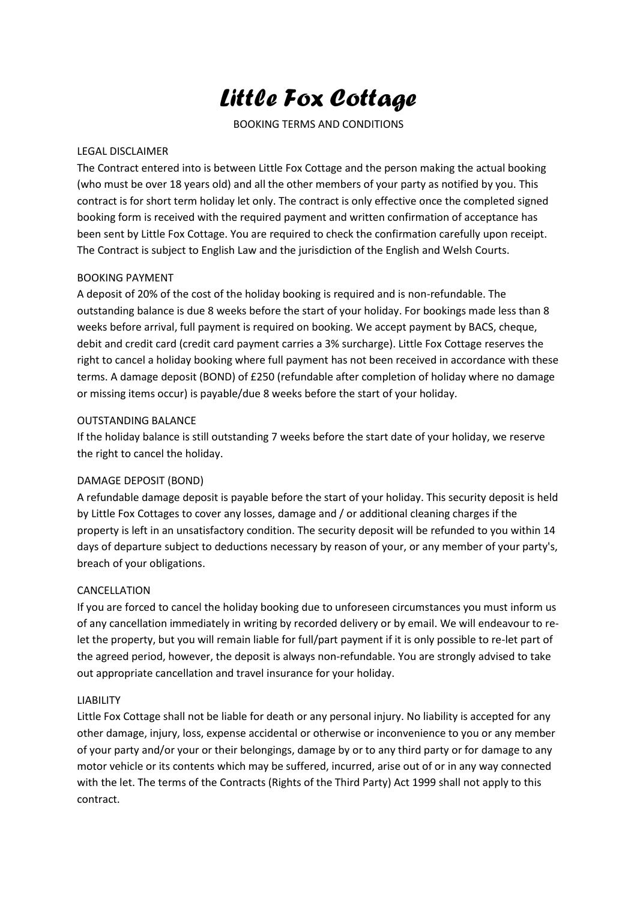# *Little Fox Cottage*

BOOKING TERMS AND CONDITIONS

## LEGAL DISCLAIMER

The Contract entered into is between Little Fox Cottage and the person making the actual booking (who must be over 18 years old) and all the other members of your party as notified by you. This contract is for short term holiday let only. The contract is only effective once the completed signed booking form is received with the required payment and written confirmation of acceptance has been sent by Little Fox Cottage. You are required to check the confirmation carefully upon receipt. The Contract is subject to English Law and the jurisdiction of the English and Welsh Courts.

## BOOKING PAYMENT

A deposit of 20% of the cost of the holiday booking is required and is non-refundable. The outstanding balance is due 8 weeks before the start of your holiday. For bookings made less than 8 weeks before arrival, full payment is required on booking. We accept payment by BACS, cheque, debit and credit card (credit card payment carries a 3% surcharge). Little Fox Cottage reserves the right to cancel a holiday booking where full payment has not been received in accordance with these terms. A damage deposit (BOND) of £250 (refundable after completion of holiday where no damage or missing items occur) is payable/due 8 weeks before the start of your holiday.

## OUTSTANDING BALANCE

If the holiday balance is still outstanding 7 weeks before the start date of your holiday, we reserve the right to cancel the holiday.

# DAMAGE DEPOSIT (BOND)

A refundable damage deposit is payable before the start of your holiday. This security deposit is held by Little Fox Cottages to cover any losses, damage and / or additional cleaning charges if the property is left in an unsatisfactory condition. The security deposit will be refunded to you within 14 days of departure subject to deductions necessary by reason of your, or any member of your party's, breach of your obligations.

## CANCELLATION

If you are forced to cancel the holiday booking due to unforeseen circumstances you must inform us of any cancellation immediately in writing by recorded delivery or by email. We will endeavour to relet the property, but you will remain liable for full/part payment if it is only possible to re-let part of the agreed period, however, the deposit is always non-refundable. You are strongly advised to take out appropriate cancellation and travel insurance for your holiday.

## LIABILITY

Little Fox Cottage shall not be liable for death or any personal injury. No liability is accepted for any other damage, injury, loss, expense accidental or otherwise or inconvenience to you or any member of your party and/or your or their belongings, damage by or to any third party or for damage to any motor vehicle or its contents which may be suffered, incurred, arise out of or in any way connected with the let. The terms of the Contracts (Rights of the Third Party) Act 1999 shall not apply to this contract.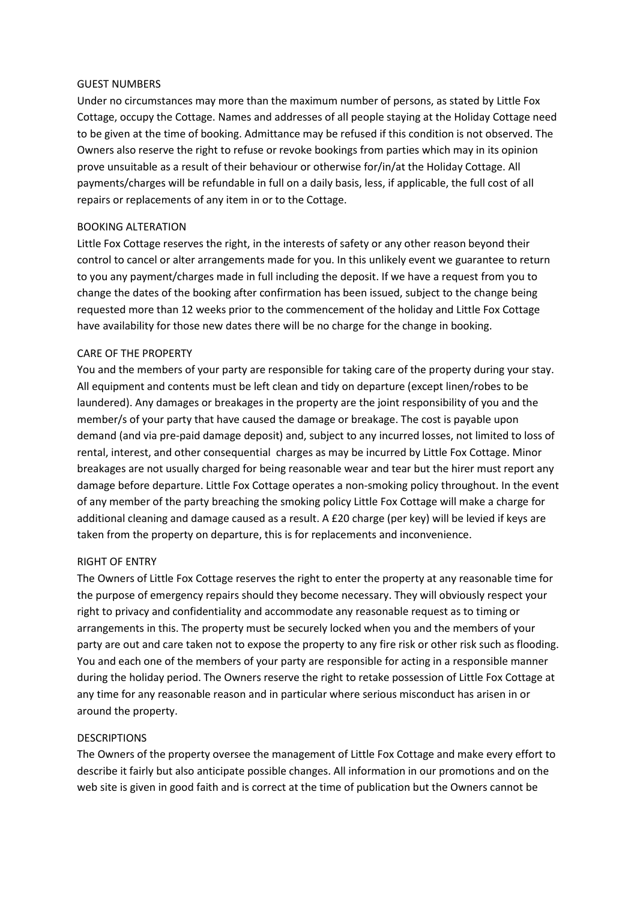#### GUEST NUMBERS

Under no circumstances may more than the maximum number of persons, as stated by Little Fox Cottage, occupy the Cottage. Names and addresses of all people staying at the Holiday Cottage need to be given at the time of booking. Admittance may be refused if this condition is not observed. The Owners also reserve the right to refuse or revoke bookings from parties which may in its opinion prove unsuitable as a result of their behaviour or otherwise for/in/at the Holiday Cottage. All payments/charges will be refundable in full on a daily basis, less, if applicable, the full cost of all repairs or replacements of any item in or to the Cottage.

## BOOKING ALTERATION

Little Fox Cottage reserves the right, in the interests of safety or any other reason beyond their control to cancel or alter arrangements made for you. In this unlikely event we guarantee to return to you any payment/charges made in full including the deposit. If we have a request from you to change the dates of the booking after confirmation has been issued, subject to the change being requested more than 12 weeks prior to the commencement of the holiday and Little Fox Cottage have availability for those new dates there will be no charge for the change in booking.

## CARE OF THE PROPERTY

You and the members of your party are responsible for taking care of the property during your stay. All equipment and contents must be left clean and tidy on departure (except linen/robes to be laundered). Any damages or breakages in the property are the joint responsibility of you and the member/s of your party that have caused the damage or breakage. The cost is payable upon demand (and via pre-paid damage deposit) and, subject to any incurred losses, not limited to loss of rental, interest, and other consequential charges as may be incurred by Little Fox Cottage. Minor breakages are not usually charged for being reasonable wear and tear but the hirer must report any damage before departure. Little Fox Cottage operates a non-smoking policy throughout. In the event of any member of the party breaching the smoking policy Little Fox Cottage will make a charge for additional cleaning and damage caused as a result. A £20 charge (per key) will be levied if keys are taken from the property on departure, this is for replacements and inconvenience.

## RIGHT OF ENTRY

The Owners of Little Fox Cottage reserves the right to enter the property at any reasonable time for the purpose of emergency repairs should they become necessary. They will obviously respect your right to privacy and confidentiality and accommodate any reasonable request as to timing or arrangements in this. The property must be securely locked when you and the members of your party are out and care taken not to expose the property to any fire risk or other risk such as flooding. You and each one of the members of your party are responsible for acting in a responsible manner during the holiday period. The Owners reserve the right to retake possession of Little Fox Cottage at any time for any reasonable reason and in particular where serious misconduct has arisen in or around the property.

## **DESCRIPTIONS**

The Owners of the property oversee the management of Little Fox Cottage and make every effort to describe it fairly but also anticipate possible changes. All information in our promotions and on the web site is given in good faith and is correct at the time of publication but the Owners cannot be